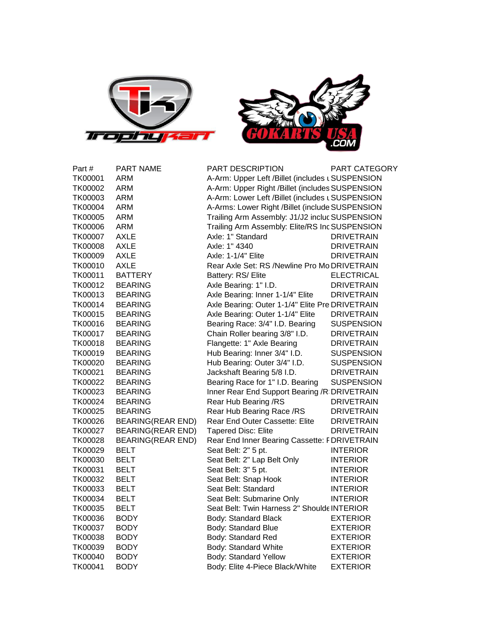



| Part #         | <b>PART NAME</b>         | <b>PART DESCRIPTION</b>                         | PART CATEGORY     |
|----------------|--------------------------|-------------------------------------------------|-------------------|
| TK00001        | ARM                      | A-Arm: Upper Left /Billet (includes LSUSPENSION |                   |
| TK00002        | <b>ARM</b>               | A-Arm: Upper Right /Billet (includes SUSPENSION |                   |
| TK00003        | <b>ARM</b>               | A-Arm: Lower Left /Billet (includes LSUSPENSION |                   |
| TK00004        | <b>ARM</b>               | A-Arms: Lower Right /Billet (include SUSPENSION |                   |
| TK00005        | <b>ARM</b>               | Trailing Arm Assembly: J1/J2 incluc SUSPENSION  |                   |
| TK00006        | <b>ARM</b>               | Trailing Arm Assembly: Elite/RS Inc SUSPENSION  |                   |
| TK00007        | <b>AXLE</b>              | Axle: 1" Standard                               | <b>DRIVETRAIN</b> |
| <b>TK00008</b> | <b>AXLE</b>              | Axle: 1" 4340                                   | <b>DRIVETRAIN</b> |
| TK00009        | <b>AXLE</b>              | Axle: 1-1/4" Elite                              | DRIVETRAIN        |
| TK00010        | <b>AXLE</b>              | Rear Axle Set: RS /Newline Pro Mo DRIVETRAIN    |                   |
| TK00011        | BATTERY                  | Battery: RS/ Elite                              | <b>ELECTRICAL</b> |
| TK00012        | <b>BEARING</b>           | Axle Bearing: 1" I.D.                           | <b>DRIVETRAIN</b> |
| TK00013        | <b>BEARING</b>           | Axle Bearing: Inner 1-1/4" Elite                | <b>DRIVETRAIN</b> |
| TK00014        | <b>BEARING</b>           | Axle Bearing: Outer 1-1/4" Elite Pre DRIVETRAIN |                   |
| TK00015        | <b>BEARING</b>           | Axle Bearing: Outer 1-1/4" Elite                | <b>DRIVETRAIN</b> |
| TK00016        | <b>BEARING</b>           | Bearing Race: 3/4" I.D. Bearing                 | <b>SUSPENSION</b> |
| TK00017        | <b>BEARING</b>           | Chain Roller bearing 3/8" I.D.                  | <b>DRIVETRAIN</b> |
| TK00018        | <b>BEARING</b>           | Flangette: 1" Axle Bearing                      | <b>DRIVETRAIN</b> |
| TK00019        | <b>BEARING</b>           | Hub Bearing: Inner 3/4" I.D.                    | <b>SUSPENSION</b> |
| TK00020        | <b>BEARING</b>           | Hub Bearing: Outer 3/4" I.D.                    | <b>SUSPENSION</b> |
| TK00021        | <b>BEARING</b>           | Jackshaft Bearing 5/8 I.D.                      | <b>DRIVETRAIN</b> |
| TK00022        | <b>BEARING</b>           | Bearing Race for 1" I.D. Bearing                | <b>SUSPENSION</b> |
| TK00023        | <b>BEARING</b>           | Inner Rear End Support Bearing /R DRIVETRAIN    |                   |
| TK00024        | <b>BEARING</b>           | Rear Hub Bearing /RS                            | <b>DRIVETRAIN</b> |
| TK00025        | <b>BEARING</b>           | Rear Hub Bearing Race /RS                       | <b>DRIVETRAIN</b> |
| TK00026        | <b>BEARING(REAR END)</b> | Rear End Outer Cassette: Elite                  | DRIVETRAIN        |
| TK00027        | <b>BEARING(REAR END)</b> | <b>Tapered Disc: Elite</b>                      | <b>DRIVETRAIN</b> |
| TK00028        | <b>BEARING(REAR END)</b> | Rear End Inner Bearing Cassette: FDRIVETRAIN    |                   |
| TK00029        | <b>BELT</b>              | Seat Belt: 2" 5 pt.                             | <b>INTERIOR</b>   |
| TK00030        | <b>BELT</b>              | Seat Belt: 2" Lap Belt Only                     | <b>INTERIOR</b>   |
| TK00031        | <b>BELT</b>              | Seat Belt: 3" 5 pt.                             | <b>INTERIOR</b>   |
| TK00032        | <b>BELT</b>              | Seat Belt: Snap Hook                            | <b>INTERIOR</b>   |
| TK00033        | <b>BELT</b>              | Seat Belt: Standard                             | <b>INTERIOR</b>   |
| TK00034        | <b>BELT</b>              | Seat Belt: Submarine Only                       | <b>INTERIOR</b>   |
| TK00035        | <b>BELT</b>              | Seat Belt: Twin Harness 2" Shoulde INTERIOR     |                   |
| TK00036        | <b>BODY</b>              | Body: Standard Black                            | <b>EXTERIOR</b>   |
| TK00037        | <b>BODY</b>              | Body: Standard Blue                             | <b>EXTERIOR</b>   |
| TK00038        | <b>BODY</b>              | Body: Standard Red                              | <b>EXTERIOR</b>   |
| TK00039        | <b>BODY</b>              | Body: Standard White                            | <b>EXTERIOR</b>   |
| TK00040        | <b>BODY</b>              | Body: Standard Yellow                           | <b>EXTERIOR</b>   |
| TK00041        | <b>BODY</b>              | Body: Elite 4-Piece Black/White                 | <b>EXTERIOR</b>   |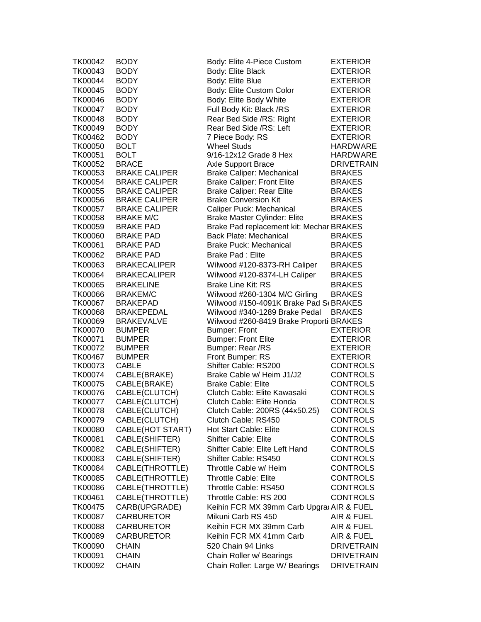| TK00042        | <b>BODY</b>          | Body: Elite 4-Piece Custom               | <b>EXTERIOR</b>   |
|----------------|----------------------|------------------------------------------|-------------------|
| TK00043        | <b>BODY</b>          | Body: Elite Black                        | <b>EXTERIOR</b>   |
| TK00044        | <b>BODY</b>          | Body: Elite Blue                         | <b>EXTERIOR</b>   |
| TK00045        | <b>BODY</b>          | Body: Elite Custom Color                 | <b>EXTERIOR</b>   |
| TK00046        | <b>BODY</b>          | Body: Elite Body White                   | <b>EXTERIOR</b>   |
| TK00047        | <b>BODY</b>          | Full Body Kit: Black /RS                 | <b>EXTERIOR</b>   |
| TK00048        | <b>BODY</b>          | Rear Bed Side /RS: Right                 | <b>EXTERIOR</b>   |
| TK00049        | <b>BODY</b>          | Rear Bed Side /RS: Left                  | <b>EXTERIOR</b>   |
| TK00462        | <b>BODY</b>          | 7 Piece Body: RS                         | <b>EXTERIOR</b>   |
| TK00050        | <b>BOLT</b>          | <b>Wheel Studs</b>                       | <b>HARDWARE</b>   |
| TK00051        | <b>BOLT</b>          | 9/16-12x12 Grade 8 Hex                   | <b>HARDWARE</b>   |
| TK00052        | <b>BRACE</b>         | <b>Axle Support Brace</b>                | <b>DRIVETRAIN</b> |
| TK00053        | <b>BRAKE CALIPER</b> | <b>Brake Caliper: Mechanical</b>         | <b>BRAKES</b>     |
| TK00054        | <b>BRAKE CALIPER</b> | <b>Brake Caliper: Front Elite</b>        | <b>BRAKES</b>     |
| TK00055        | <b>BRAKE CALIPER</b> | <b>Brake Caliper: Rear Elite</b>         | <b>BRAKES</b>     |
| TK00056        | <b>BRAKE CALIPER</b> | <b>Brake Conversion Kit</b>              | <b>BRAKES</b>     |
| TK00057        | <b>BRAKE CALIPER</b> | Caliper Puck: Mechanical                 | <b>BRAKES</b>     |
| TK00058        | <b>BRAKE M/C</b>     | <b>Brake Master Cylinder: Elite</b>      | <b>BRAKES</b>     |
| TK00059        | <b>BRAKE PAD</b>     | Brake Pad replacement kit: Mechar BRAKES |                   |
| <b>TK00060</b> | <b>BRAKE PAD</b>     | <b>Back Plate: Mechanical</b>            | <b>BRAKES</b>     |
| TK00061        | <b>BRAKE PAD</b>     | <b>Brake Puck: Mechanical</b>            | <b>BRAKES</b>     |
| TK00062        | <b>BRAKE PAD</b>     | <b>Brake Pad: Elite</b>                  | <b>BRAKES</b>     |
| TK00063        | <b>BRAKECALIPER</b>  | Wilwood #120-8373-RH Caliper             | <b>BRAKES</b>     |
| TK00064        | <b>BRAKECALIPER</b>  | Wilwood #120-8374-LH Caliper             | <b>BRAKES</b>     |
| TK00065        | <b>BRAKELINE</b>     | <b>Brake Line Kit: RS</b>                | <b>BRAKES</b>     |
| <b>TK00066</b> | <b>BRAKEM/C</b>      | Wilwood #260-1304 M/C Girling            | <b>BRAKES</b>     |
| TK00067        | <b>BRAKEPAD</b>      | Wilwood #150-4091K Brake Pad S(BRAKES    |                   |
| TK00068        | <b>BRAKEPEDAL</b>    | Wilwood #340-1289 Brake Pedal            | <b>BRAKES</b>     |
| TK00069        | <b>BRAKEVALVE</b>    | Wilwood #260-8419 Brake Proporti BRAKES  |                   |
| TK00070        | <b>BUMPER</b>        | <b>Bumper: Front</b>                     | <b>EXTERIOR</b>   |
| TK00071        | <b>BUMPER</b>        | <b>Bumper: Front Elite</b>               | <b>EXTERIOR</b>   |
| TK00072        | <b>BUMPER</b>        | Bumper: Rear /RS                         | <b>EXTERIOR</b>   |
| TK00467        | <b>BUMPER</b>        | Front Bumper: RS                         | <b>EXTERIOR</b>   |
| TK00073        | <b>CABLE</b>         | Shifter Cable: RS200                     | <b>CONTROLS</b>   |
| TK00074        | CABLE(BRAKE)         | Brake Cable w/ Heim J1/J2                | <b>CONTROLS</b>   |
| TK00075        | CABLE(BRAKE)         | <b>Brake Cable: Elite</b>                | CONTROLS          |
| TK00076        | CABLE(CLUTCH)        | Clutch Cable: Elite Kawasaki             | <b>CONTROLS</b>   |
| TK00077        | CABLE(CLUTCH)        | Clutch Cable: Elite Honda                | <b>CONTROLS</b>   |
| <b>TK00078</b> | CABLE(CLUTCH)        | Clutch Cable: 200RS (44x50.25)           | <b>CONTROLS</b>   |
| TK00079        | CABLE(CLUTCH)        | Clutch Cable: RS450                      | <b>CONTROLS</b>   |
| <b>TK00080</b> | CABLE(HOT START)     | Hot Start Cable: Elite                   | <b>CONTROLS</b>   |
| TK00081        | CABLE(SHIFTER)       | <b>Shifter Cable: Elite</b>              | <b>CONTROLS</b>   |
| TK00082        | CABLE(SHIFTER)       | Shifter Cable: Elite Left Hand           | <b>CONTROLS</b>   |
| TK00083        | CABLE(SHIFTER)       | Shifter Cable: RS450                     | <b>CONTROLS</b>   |
| TK00084        | CABLE(THROTTLE)      | Throttle Cable w/ Heim                   | <b>CONTROLS</b>   |
| TK00085        | CABLE(THROTTLE)      | <b>Throttle Cable: Elite</b>             | <b>CONTROLS</b>   |
| TK00086        | CABLE(THROTTLE)      | Throttle Cable: RS450                    | <b>CONTROLS</b>   |
| TK00461        | CABLE(THROTTLE)      | Throttle Cable: RS 200                   | <b>CONTROLS</b>   |
| TK00475        | CARB(UPGRADE)        | Keihin FCR MX 39mm Carb Upgra AIR & FUEL |                   |
| TK00087        | <b>CARBURETOR</b>    | Mikuni Carb RS 450                       | AIR & FUEL        |
| TK00088        | <b>CARBURETOR</b>    | Keihin FCR MX 39mm Carb                  | AIR & FUEL        |
| TK00089        | <b>CARBURETOR</b>    | Keihin FCR MX 41mm Carb                  | AIR & FUEL        |
| TK00090        | <b>CHAIN</b>         | 520 Chain 94 Links                       | <b>DRIVETRAIN</b> |
| TK00091        | <b>CHAIN</b>         | Chain Roller w/ Bearings                 | <b>DRIVETRAIN</b> |
| TK00092        | <b>CHAIN</b>         | Chain Roller: Large W/ Bearings          | <b>DRIVETRAIN</b> |
|                |                      |                                          |                   |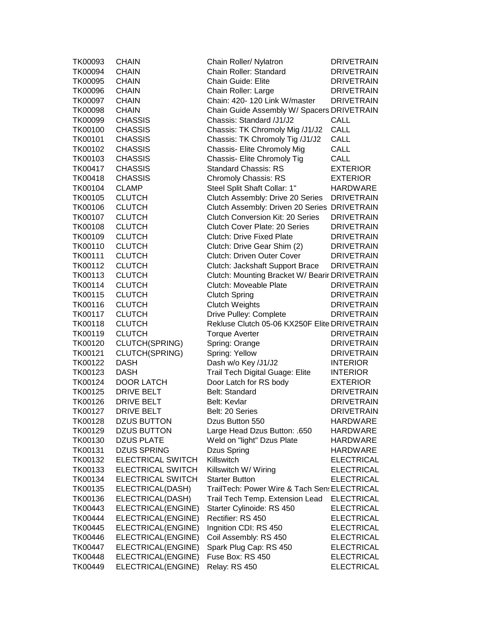| TK00093 | <b>CHAIN</b>             | Chain Roller/ Nylatron                        | <b>DRIVETRAIN</b> |
|---------|--------------------------|-----------------------------------------------|-------------------|
| TK00094 | <b>CHAIN</b>             | Chain Roller: Standard                        | <b>DRIVETRAIN</b> |
| TK00095 | <b>CHAIN</b>             | <b>Chain Guide: Elite</b>                     | <b>DRIVETRAIN</b> |
| TK00096 | <b>CHAIN</b>             | Chain Roller: Large                           | <b>DRIVETRAIN</b> |
| TK00097 | <b>CHAIN</b>             | Chain: 420- 120 Link W/master                 | <b>DRIVETRAIN</b> |
| TK00098 | <b>CHAIN</b>             | Chain Guide Assembly W/ Spacers DRIVETRAIN    |                   |
| TK00099 | <b>CHASSIS</b>           | Chassis: Standard /J1/J2                      | CALL              |
| TK00100 | <b>CHASSIS</b>           | Chassis: TK Chromoly Mig /J1/J2               | <b>CALL</b>       |
| TK00101 | <b>CHASSIS</b>           | Chassis: TK Chromoly Tig /J1/J2               | <b>CALL</b>       |
| TK00102 | <b>CHASSIS</b>           | Chassis- Elite Chromoly Mig                   | <b>CALL</b>       |
| TK00103 | <b>CHASSIS</b>           | Chassis- Elite Chromoly Tig                   | CALL              |
| TK00417 | <b>CHASSIS</b>           | <b>Standard Chassis: RS</b>                   | <b>EXTERIOR</b>   |
| TK00418 | <b>CHASSIS</b>           | <b>Chromoly Chassis: RS</b>                   | <b>EXTERIOR</b>   |
| TK00104 | <b>CLAMP</b>             | Steel Split Shaft Collar: 1"                  | <b>HARDWARE</b>   |
| TK00105 | <b>CLUTCH</b>            | Clutch Assembly: Drive 20 Series              | <b>DRIVETRAIN</b> |
| TK00106 | <b>CLUTCH</b>            | Clutch Assembly: Driven 20 Series DRIVETRAIN  |                   |
| TK00107 | <b>CLUTCH</b>            | <b>Clutch Conversion Kit: 20 Series</b>       | <b>DRIVETRAIN</b> |
| TK00108 | <b>CLUTCH</b>            | <b>Clutch Cover Plate: 20 Series</b>          | <b>DRIVETRAIN</b> |
| TK00109 | <b>CLUTCH</b>            | <b>Clutch: Drive Fixed Plate</b>              | <b>DRIVETRAIN</b> |
| TK00110 | <b>CLUTCH</b>            | Clutch: Drive Gear Shim (2)                   | <b>DRIVETRAIN</b> |
| TK00111 | <b>CLUTCH</b>            | <b>Clutch: Driven Outer Cover</b>             | <b>DRIVETRAIN</b> |
| TK00112 | <b>CLUTCH</b>            | Clutch: Jackshaft Support Brace               | <b>DRIVETRAIN</b> |
| TK00113 | <b>CLUTCH</b>            | Clutch: Mounting Bracket W/ Bearir DRIVETRAIN |                   |
| TK00114 | <b>CLUTCH</b>            | Clutch: Moveable Plate                        | <b>DRIVETRAIN</b> |
| TK00115 | <b>CLUTCH</b>            | <b>Clutch Spring</b>                          | <b>DRIVETRAIN</b> |
| TK00116 | <b>CLUTCH</b>            | <b>Clutch Weights</b>                         | <b>DRIVETRAIN</b> |
| TK00117 | <b>CLUTCH</b>            | Drive Pulley: Complete                        | <b>DRIVETRAIN</b> |
| TK00118 | <b>CLUTCH</b>            | Rekluse Clutch 05-06 KX250F Elite DRIVETRAIN  |                   |
| TK00119 | <b>CLUTCH</b>            | <b>Torque Averter</b>                         | <b>DRIVETRAIN</b> |
| TK00120 | CLUTCH(SPRING)           | Spring: Orange                                | <b>DRIVETRAIN</b> |
| TK00121 | CLUTCH(SPRING)           | Spring: Yellow                                | <b>DRIVETRAIN</b> |
| TK00122 | <b>DASH</b>              | Dash w/o Key /J1/J2                           | <b>INTERIOR</b>   |
| TK00123 | <b>DASH</b>              | Trail Tech Digital Guage: Elite               | <b>INTERIOR</b>   |
| TK00124 | <b>DOOR LATCH</b>        | Door Latch for RS body                        | <b>EXTERIOR</b>   |
| TK00125 | DRIVE BELT               | <b>Belt: Standard</b>                         | <b>DRIVETRAIN</b> |
| TK00126 | <b>DRIVE BELT</b>        | <b>Belt: Kevlar</b>                           | <b>DRIVETRAIN</b> |
| TK00127 | <b>DRIVE BELT</b>        | Belt: 20 Series                               | <b>DRIVETRAIN</b> |
| TK00128 | <b>DZUS BUTTON</b>       | Dzus Button 550                               | HARDWARE          |
| TK00129 | <b>DZUS BUTTON</b>       | Large Head Dzus Button: .650                  | HARDWARE          |
| TK00130 | <b>DZUS PLATE</b>        | Weld on "light" Dzus Plate                    | HARDWARE          |
| TK00131 | <b>DZUS SPRING</b>       | Dzus Spring                                   | HARDWARE          |
| TK00132 | <b>ELECTRICAL SWITCH</b> | Killswitch                                    | <b>ELECTRICAL</b> |
| TK00133 | <b>ELECTRICAL SWITCH</b> | Killswitch W/ Wiring                          | <b>ELECTRICAL</b> |
| TK00134 | <b>ELECTRICAL SWITCH</b> | <b>Starter Button</b>                         | <b>ELECTRICAL</b> |
| TK00135 | ELECTRICAL(DASH)         | TrailTech: Power Wire & Tach Sen: ELECTRICAL  |                   |
| TK00136 | ELECTRICAL(DASH)         | Trail Tech Temp. Extension Lead               | <b>ELECTRICAL</b> |
| TK00443 | ELECTRICAL(ENGINE)       | Starter Cylinoide: RS 450                     | <b>ELECTRICAL</b> |
| TK00444 | ELECTRICAL(ENGINE)       | Rectifier: RS 450                             | <b>ELECTRICAL</b> |
| TK00445 | ELECTRICAL(ENGINE)       | Ingnition CDI: RS 450                         | <b>ELECTRICAL</b> |
| TK00446 | ELECTRICAL(ENGINE)       | Coil Assembly: RS 450                         | <b>ELECTRICAL</b> |
| TK00447 | ELECTRICAL(ENGINE)       | Spark Plug Cap: RS 450                        | <b>ELECTRICAL</b> |
| TK00448 | ELECTRICAL(ENGINE)       | Fuse Box: RS 450                              | <b>ELECTRICAL</b> |
| TK00449 | ELECTRICAL(ENGINE)       | Relay: RS 450                                 | <b>ELECTRICAL</b> |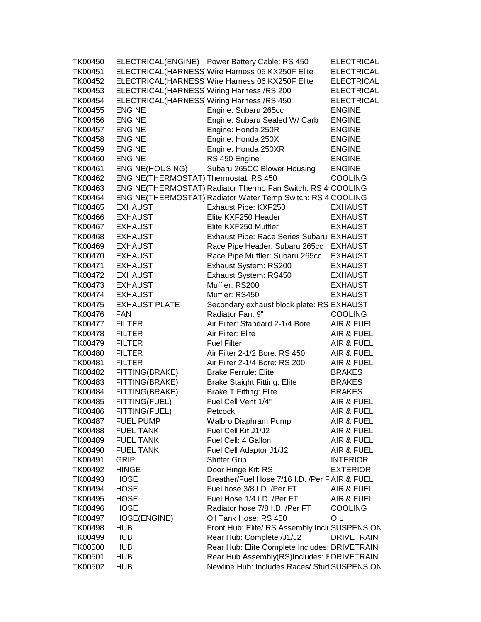TK00450 ELECTRICAL(ENGINE) Power Battery Cable: RS 450 ELECTRICAL TK00451 ELECTRICAL(HARNESS)Wire Harness 05 KX250F Elite ELECTRICAL TK00452 ELECTRICAL(HARNESS)Wire Harness 06 KX250F Elite ELECTRICAL TK00453 ELECTRICAL(HARNESS)Wiring Harness /RS 200 ELECTRICAL TK00454 ELECTRICAL(HARNESS Wiring Harness /RS 450 ELECTRICAL TK00455 ENGINE Engine: Subaru 265cc ENGINE TK00456 ENGINE Engine: Subaru Sealed W/ Carb ENGINE TK00457 ENGINE Engine: Honda 250R ENGINE TK00458 ENGINE Engine: Honda 250X ENGINE TK00459 ENGINE Engine: Honda 250XR ENGINE TK00460 ENGINE RS 450 Engine ENGINE TK00461 ENGINE(HOUSING) Subaru 265CC Blower Housing ENGINE TK00462 ENGINE(THERMOSTAT) Thermostat: RS 450 COOLING TK00463 ENGINE(THERMOSTAT) Radiator Thermo Fan Switch: RS 4: COOLING TK00464 ENGINE(THERMOSTAT) Radiator Water Temp Switch: RS 4 COOLING TK00465 EXHAUST Exhaust Pipe: KXF250 EXHAUST TK00466 EXHAUST Elite KXF250 Header EXHAUST TK00467 EXHAUST Elite KXF250 Muffler EXHAUST TK00468 EXHAUST Exhaust Pipe: Race Series Subaru EXHAUST TK00469 EXHAUST Race Pipe Header: Subaru 265cc EXHAUST TK00470 EXHAUST Race Pipe Muffler: Subaru 265cc EXHAUST TK00471 EXHAUST Exhaust System: RS200 EXHAUST TK00472 EXHAUST Exhaust System: RS450 EXHAUST TK00473 EXHAUST Muffler: RS200 EXHAUST TK00474 EXHAUST Muffler: RS450 EXHAUST TK00475 EXHAUST PLATE Secondary exhaust block plate: RS EXHAUST TK00476 FAN Radiator Fan: 9" COOLING TK00477 FILTER Air Filter: Standard 2-1/4 Bore AIR & FUEL TK00478 FILTER Air Filter: Elite AIR & FUEL TK00479 FILTER Fuel Filter Fuel Filter AIR & FUEL TK00480 FILTER Air Filter 2-1/2 Bore: RS 450 AIR & FUEL TK00481 FILTER Air Filter 2-1/4 Bore: RS 200 AIR & FUEL TK00482 FITTING(BRAKE) Brake Ferrule: Elite BRAKES TK00483 FITTING(BRAKE) Brake Staight Fitting: Elite BRAKES TK00484 FITTING(BRAKE) Brake T Fitting: Elite BRAKES TK00485 FITTING(FUEL) Fuel Cell Vent 1/4" AIR & FUEL TK00486 FITTING(FUEL) Petcock AIR & FUEL TK00487 FUEL PUMP Walbro Diaphram Pump AIR & FUEL TK00488 FUEL TANK Fuel Cell Kit J1/J2 AIR & FUEL TK00489 FUEL TANK Fuel Cell: 4 Gallon AIR & FUEL TK00490 FUEL TANK Fuel Cell Adaptor J1/J2 AIR & FUEL TK00491 GRIP Shifter Grip INTERIOR TK00492 HINGE Door Hinge Kit: RS EXTERIOR TK00493 HOSE Breather/Fuel Hose 7/16 I.D. /Per FAIR & FUEL TK00494 HOSE Fuel hose 3/8 I.D. /Per FT AIR & FUEL TK00495 HOSE Fuel Hose 1/4 I.D. /Per FT AIR & FUEL TK00496 HOSE Radiator hose 7/8 I.D. /Per FT COOLING TK00497 HOSE(ENGINE) Oil Tank Hose: RS 450 OIL TK00498 HUB Front Hub: Elite/ RS Assembly Includes SUSPENSION TK00499 HUB Rear Hub: Complete /J1/J2 DRIVETRAIN TK00500 HUB Rear Hub: Elite Complete Includes: DRIVETRAIN TK00501 HUB Rear Hub Assembly(RS)Includes: EDRIVETRAIN TK00502 HUB Newline Hub: Includes Races/ StudsSUSPENSION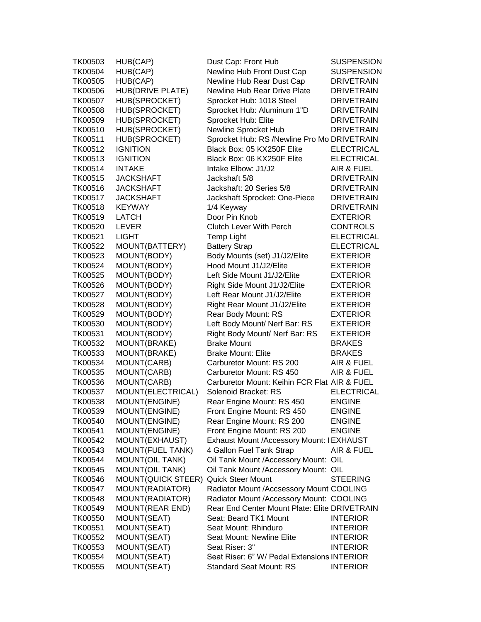| TK00503        | HUB(CAP)                | Dust Cap: Front Hub                           | <b>SUSPENSION</b> |
|----------------|-------------------------|-----------------------------------------------|-------------------|
| TK00504        | HUB(CAP)                | Newline Hub Front Dust Cap                    | <b>SUSPENSION</b> |
| <b>TK00505</b> | HUB(CAP)                | Newline Hub Rear Dust Cap                     | <b>DRIVETRAIN</b> |
| TK00506        | HUB(DRIVE PLATE)        | Newline Hub Rear Drive Plate                  | <b>DRIVETRAIN</b> |
| TK00507        | <b>HUB(SPROCKET)</b>    | Sprocket Hub: 1018 Steel                      | <b>DRIVETRAIN</b> |
| TK00508        | <b>HUB(SPROCKET)</b>    | Sprocket Hub: Aluminum 1"D                    | <b>DRIVETRAIN</b> |
| TK00509        | HUB(SPROCKET)           | Sprocket Hub: Elite                           | <b>DRIVETRAIN</b> |
| TK00510        | HUB(SPROCKET)           | Newline Sprocket Hub                          | <b>DRIVETRAIN</b> |
| TK00511        | <b>HUB(SPROCKET)</b>    | Sprocket Hub: RS /Newline Pro Mo DRIVETRAIN   |                   |
| TK00512        | <b>IGNITION</b>         | Black Box: 05 KX250F Elite                    | <b>ELECTRICAL</b> |
| TK00513        | <b>IGNITION</b>         | Black Box: 06 KX250F Elite                    | <b>ELECTRICAL</b> |
| TK00514        | <b>INTAKE</b>           | Intake Elbow: J1/J2                           | AIR & FUEL        |
| TK00515        | <b>JACKSHAFT</b>        | Jackshaft 5/8                                 | <b>DRIVETRAIN</b> |
| TK00516        | JACKSHAFT               | Jackshaft: 20 Series 5/8                      | <b>DRIVETRAIN</b> |
|                |                         |                                               |                   |
| TK00517        | JACKSHAFT               | Jackshaft Sprocket: One-Piece                 | <b>DRIVETRAIN</b> |
| TK00518        | <b>KEYWAY</b>           | 1/4 Keyway                                    | <b>DRIVETRAIN</b> |
| TK00519        | LATCH                   | Door Pin Knob                                 | <b>EXTERIOR</b>   |
| TK00520        | <b>LEVER</b>            | <b>Clutch Lever With Perch</b>                | <b>CONTROLS</b>   |
| TK00521        | <b>LIGHT</b>            | <b>Temp Light</b>                             | <b>ELECTRICAL</b> |
| TK00522        | MOUNT(BATTERY)          | <b>Battery Strap</b>                          | <b>ELECTRICAL</b> |
| TK00523        | MOUNT(BODY)             | Body Mounts (set) J1/J2/Elite                 | <b>EXTERIOR</b>   |
| TK00524        | MOUNT(BODY)             | Hood Mount J1/J2/Elite                        | <b>EXTERIOR</b>   |
| TK00525        | MOUNT(BODY)             | Left Side Mount J1/J2/Elite                   | <b>EXTERIOR</b>   |
| TK00526        | MOUNT(BODY)             | Right Side Mount J1/J2/Elite                  | <b>EXTERIOR</b>   |
| TK00527        | MOUNT(BODY)             | Left Rear Mount J1/J2/Elite                   | <b>EXTERIOR</b>   |
| TK00528        | MOUNT(BODY)             | Right Rear Mount J1/J2/Elite                  | <b>EXTERIOR</b>   |
| TK00529        | MOUNT(BODY)             | Rear Body Mount: RS                           | <b>EXTERIOR</b>   |
| TK00530        | MOUNT(BODY)             | Left Body Mount/ Nerf Bar: RS                 | <b>EXTERIOR</b>   |
| TK00531        | MOUNT(BODY)             | Right Body Mount/ Nerf Bar: RS                | <b>EXTERIOR</b>   |
| TK00532        | MOUNT(BRAKE)            | <b>Brake Mount</b>                            | <b>BRAKES</b>     |
| TK00533        | MOUNT(BRAKE)            | <b>Brake Mount: Elite</b>                     | <b>BRAKES</b>     |
| TK00534        | MOUNT(CARB)             | Carburetor Mount: RS 200                      | AIR & FUEL        |
| TK00535        | MOUNT(CARB)             | Carburetor Mount: RS 450                      | AIR & FUEL        |
| TK00536        | MOUNT(CARB)             | Carburetor Mount: Keihin FCR Flat AIR & FUEL  |                   |
| TK00537        | MOUNT(ELECTRICAL)       | Solenoid Bracket: RS                          | <b>ELECTRICAL</b> |
| TK00538        | MOUNT(ENGINE)           | Rear Engine Mount: RS 450                     | <b>ENGINE</b>     |
| TK00539        | MOUNT(ENGINE)           | Front Engine Mount: RS 450                    | <b>ENGINE</b>     |
| TK00540        | MOUNT(ENGINE)           | Rear Engine Mount: RS 200                     | <b>ENGINE</b>     |
| TK00541        | MOUNT(ENGINE)           | Front Engine Mount: RS 200                    | <b>ENGINE</b>     |
| TK00542        | MOUNT(EXHAUST)          | Exhaust Mount /Accessory Mount: I EXHAUST     |                   |
| TK00543        | <b>MOUNT(FUEL TANK)</b> | 4 Gallon Fuel Tank Strap                      | AIR & FUEL        |
| TK00544        | <b>MOUNT(OIL TANK)</b>  | Oil Tank Mount /Accessory Mount: OIL          |                   |
| TK00545        | <b>MOUNT(OIL TANK)</b>  | Oil Tank Mount /Accessory Mount: OIL          |                   |
| TK00546        | MOUNT(QUICK STEER)      | <b>Quick Steer Mount</b>                      | <b>STEERING</b>   |
| TK00547        | MOUNT(RADIATOR)         | Radiator Mount /Accsessory Mount COOLING      |                   |
| TK00548        | MOUNT(RADIATOR)         | Radiator Mount /Accessory Mount: COOLING      |                   |
| TK00549        | <b>MOUNT(REAR END)</b>  | Rear End Center Mount Plate: Elite DRIVETRAIN |                   |
| TK00550        | MOUNT(SEAT)             | Seat: Beard TK1 Mount                         | <b>INTERIOR</b>   |
| TK00551        | MOUNT(SEAT)             | Seat Mount: Rhinduro                          | <b>INTERIOR</b>   |
| TK00552        | MOUNT(SEAT)             | Seat Mount: Newline Elite                     | <b>INTERIOR</b>   |
| TK00553        | MOUNT(SEAT)             | Seat Riser: 3"                                | <b>INTERIOR</b>   |
| TK00554        | MOUNT(SEAT)             | Seat Riser: 6" W/ Pedal Extensions INTERIOR   |                   |
| TK00555        | MOUNT(SEAT)             | <b>Standard Seat Mount: RS</b>                | <b>INTERIOR</b>   |
|                |                         |                                               |                   |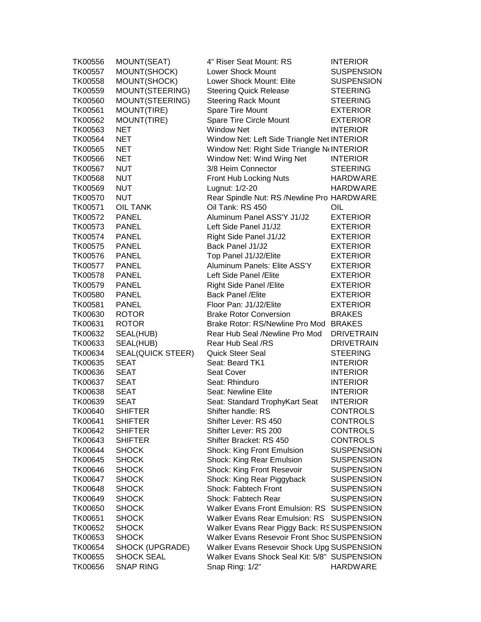| TK00556 | MOUNT(SEAT)       | 4" Riser Seat Mount: RS                      | <b>INTERIOR</b>   |
|---------|-------------------|----------------------------------------------|-------------------|
| TK00557 | MOUNT(SHOCK)      | <b>Lower Shock Mount</b>                     | <b>SUSPENSION</b> |
| TK00558 | MOUNT(SHOCK)      | Lower Shock Mount: Elite                     | <b>SUSPENSION</b> |
| TK00559 | MOUNT(STEERING)   | <b>Steering Quick Release</b>                | <b>STEERING</b>   |
| TK00560 | MOUNT(STEERING)   | <b>Steering Rack Mount</b>                   | <b>STEERING</b>   |
| TK00561 | MOUNT(TIRE)       | Spare Tire Mount                             | <b>EXTERIOR</b>   |
| TK00562 | MOUNT(TIRE)       | Spare Tire Circle Mount                      | <b>EXTERIOR</b>   |
| TK00563 | <b>NET</b>        | <b>Window Net</b>                            | <b>INTERIOR</b>   |
| TK00564 | <b>NET</b>        | Window Net: Left Side Triangle Net INTERIOR  |                   |
| TK00565 | NET               | Window Net: Right Side Triangle N INTERIOR   |                   |
| TK00566 | <b>NET</b>        | Window Net: Wind Wing Net                    | <b>INTERIOR</b>   |
| TK00567 | <b>NUT</b>        | 3/8 Heim Connector                           | <b>STEERING</b>   |
| TK00568 | <b>NUT</b>        | Front Hub Locking Nuts                       | <b>HARDWARE</b>   |
| TK00569 | <b>NUT</b>        | Lugnut: 1/2-20                               | <b>HARDWARE</b>   |
| TK00570 | <b>NUT</b>        | Rear Spindle Nut: RS /Newline Pro HARDWARE   |                   |
| TK00571 | <b>OIL TANK</b>   | Oil Tank: RS 450                             | OIL               |
| TK00572 | <b>PANEL</b>      | Aluminum Panel ASS'Y J1/J2                   | <b>EXTERIOR</b>   |
| TK00573 | <b>PANEL</b>      | Left Side Panel J1/J2                        | <b>EXTERIOR</b>   |
|         |                   |                                              | <b>EXTERIOR</b>   |
| TK00574 | <b>PANEL</b>      | Right Side Panel J1/J2                       |                   |
| TK00575 | <b>PANEL</b>      | Back Panel J1/J2                             | <b>EXTERIOR</b>   |
| TK00576 | <b>PANEL</b>      | Top Panel J1/J2/Elite                        | <b>EXTERIOR</b>   |
| TK00577 | <b>PANEL</b>      | Aluminum Panels: Elite ASS'Y                 | <b>EXTERIOR</b>   |
| TK00578 | <b>PANEL</b>      | Left Side Panel / Elite                      | <b>EXTERIOR</b>   |
| TK00579 | <b>PANEL</b>      | Right Side Panel / Elite                     | <b>EXTERIOR</b>   |
| TK00580 | <b>PANEL</b>      | <b>Back Panel / Elite</b>                    | <b>EXTERIOR</b>   |
| TK00581 | <b>PANEL</b>      | Floor Pan: J1/J2/Elite                       | <b>EXTERIOR</b>   |
| TK00630 | <b>ROTOR</b>      | <b>Brake Rotor Conversion</b>                | <b>BRAKES</b>     |
| TK00631 | <b>ROTOR</b>      | Brake Rotor: RS/Newline Pro Mod BRAKES       |                   |
| TK00632 | SEAL(HUB)         | Rear Hub Seal /Newline Pro Mod               | <b>DRIVETRAIN</b> |
| TK00633 | SEAL(HUB)         | Rear Hub Seal /RS                            | <b>DRIVETRAIN</b> |
| TK00634 | SEAL(QUICK STEER) | <b>Quick Steer Seal</b>                      | <b>STEERING</b>   |
| TK00635 | <b>SEAT</b>       | Seat: Beard TK1                              | <b>INTERIOR</b>   |
| TK00636 | SEAT              | Seat Cover                                   | <b>INTERIOR</b>   |
| TK00637 | <b>SEAT</b>       | Seat: Rhinduro                               | <b>INTERIOR</b>   |
| TK00638 | <b>SEAT</b>       | Seat: Newline Elite                          | <b>INTERIOR</b>   |
| TK00639 | <b>SEAT</b>       | Seat: Standard TrophyKart Seat               | <b>INTERIOR</b>   |
| TK00640 | <b>SHIFTER</b>    | Shifter handle: RS                           | <b>CONTROLS</b>   |
| TK00641 | <b>SHIFTER</b>    | Shifter Lever: RS 450                        | <b>CONTROLS</b>   |
| TK00642 | <b>SHIFTER</b>    | Shifter Lever: RS 200                        | <b>CONTROLS</b>   |
| TK00643 | <b>SHIFTER</b>    | Shifter Bracket: RS 450                      | <b>CONTROLS</b>   |
| TK00644 | <b>SHOCK</b>      | <b>Shock: King Front Emulsion</b>            | <b>SUSPENSION</b> |
| TK00645 | <b>SHOCK</b>      | <b>Shock: King Rear Emulsion</b>             | <b>SUSPENSION</b> |
| TK00646 | <b>SHOCK</b>      | <b>Shock: King Front Resevoir</b>            | <b>SUSPENSION</b> |
| TK00647 | <b>SHOCK</b>      | Shock: King Rear Piggyback                   | <b>SUSPENSION</b> |
| TK00648 | <b>SHOCK</b>      | Shock: Fabtech Front                         | <b>SUSPENSION</b> |
| TK00649 | <b>SHOCK</b>      | Shock: Fabtech Rear                          | <b>SUSPENSION</b> |
| TK00650 | <b>SHOCK</b>      | Walker Evans Front Emulsion: RS SUSPENSION   |                   |
| TK00651 | <b>SHOCK</b>      | Walker Evans Rear Emulsion: RS SUSPENSION    |                   |
| TK00652 | <b>SHOCK</b>      | Walker Evans Rear Piggy Back: RS SUSPENSION  |                   |
| TK00653 | <b>SHOCK</b>      | Walker Evans Resevoir Front Shoc SUSPENSION  |                   |
| TK00654 | SHOCK (UPGRADE)   | Walker Evans Resevoir Shock Upg SUSPENSION   |                   |
| TK00655 | SHOCK SEAL        | Walker Evans Shock Seal Kit: 5/8" SUSPENSION |                   |
| TK00656 | <b>SNAP RING</b>  | Snap Ring: 1/2"                              | <b>HARDWARE</b>   |
|         |                   |                                              |                   |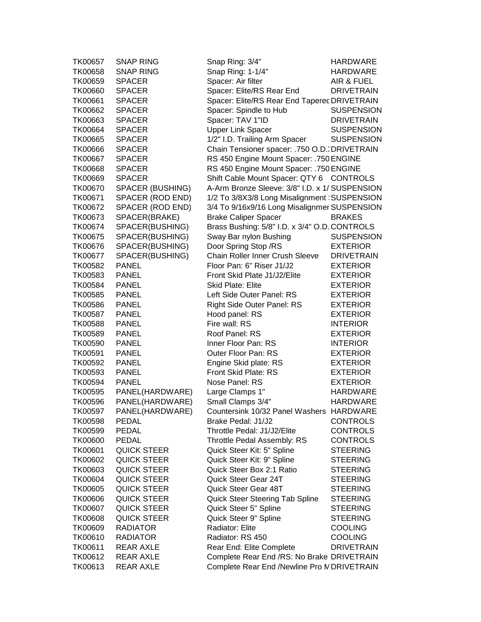| TK00657            | <b>SNAP RING</b>   | Snap Ring: 3/4"                                | <b>HARDWARE</b>   |
|--------------------|--------------------|------------------------------------------------|-------------------|
| TK00658            | <b>SNAP RING</b>   | Snap Ring: 1-1/4"                              | <b>HARDWARE</b>   |
| TK00659            | <b>SPACER</b>      | Spacer: Air filter                             | AIR & FUEL        |
| <b>TK00660</b>     | <b>SPACER</b>      | Spacer: Elite/RS Rear End                      | <b>DRIVETRAIN</b> |
| TK00661            | <b>SPACER</b>      | Spacer: Elite/RS Rear End Taperec DRIVETRAIN   |                   |
| TK00662            | <b>SPACER</b>      | Spacer: Spindle to Hub                         | <b>SUSPENSION</b> |
| TK00663            | <b>SPACER</b>      | Spacer: TAV 1"ID                               | <b>DRIVETRAIN</b> |
| TK00664            | <b>SPACER</b>      | <b>Upper Link Spacer</b>                       | <b>SUSPENSION</b> |
| TK00665            | <b>SPACER</b>      | 1/2" I.D. Trailing Arm Spacer                  | <b>SUSPENSION</b> |
| TK00666            | <b>SPACER</b>      | Chain Tensioner spacer: .750 O.D. DRIVETRAIN   |                   |
| TK00667            | <b>SPACER</b>      | RS 450 Engine Mount Spacer: .750 ENGINE        |                   |
| TK00668            | <b>SPACER</b>      | RS 450 Engine Mount Spacer: .750 ENGINE        |                   |
| TK00669            | <b>SPACER</b>      | Shift Cable Mount Spacer: QTY 6 CONTROLS       |                   |
| TK00670            | SPACER (BUSHING)   | A-Arm Bronze Sleeve: 3/8" I.D. x 1/ SUSPENSION |                   |
|                    |                    |                                                |                   |
| TK00671            | SPACER (ROD END)   | 1/2 To 3/8X3/8 Long Misalignment SUSPENSION    |                   |
| TK00672            | SPACER (ROD END)   | 3/4 To 9/16x9/16 Long Misalignmer SUSPENSION   |                   |
| TK00673            | SPACER(BRAKE)      | <b>Brake Caliper Spacer</b>                    | <b>BRAKES</b>     |
| TK00674            | SPACER(BUSHING)    | Brass Bushing: 5/8" I.D. x 3/4" O.D. CONTROLS  |                   |
| TK00675            | SPACER(BUSHING)    | Sway Bar nylon Bushing                         | <b>SUSPENSION</b> |
| TK00676            | SPACER(BUSHING)    | Door Spring Stop /RS                           | <b>EXTERIOR</b>   |
| TK00677            | SPACER(BUSHING)    | Chain Roller Inner Crush Sleeve                | <b>DRIVETRAIN</b> |
| TK00582            | <b>PANEL</b>       | Floor Pan: 6" Riser J1/J2                      | <b>EXTERIOR</b>   |
| TK00583            | <b>PANEL</b>       | Front Skid Plate J1/J2/Elite                   | <b>EXTERIOR</b>   |
| TK00584            | <b>PANEL</b>       | Skid Plate: Elite                              | <b>EXTERIOR</b>   |
| TK00585            | <b>PANEL</b>       | Left Side Outer Panel: RS                      | <b>EXTERIOR</b>   |
| TK00586            | <b>PANEL</b>       | Right Side Outer Panel: RS                     | <b>EXTERIOR</b>   |
| TK00587            | <b>PANEL</b>       | Hood panel: RS                                 | <b>EXTERIOR</b>   |
| TK00588            | <b>PANEL</b>       | Fire wall: RS                                  | <b>INTERIOR</b>   |
| TK00589            | <b>PANEL</b>       | Roof Panel: RS                                 | <b>EXTERIOR</b>   |
| TK00590            | <b>PANEL</b>       | Inner Floor Pan: RS                            | <b>INTERIOR</b>   |
| TK00591            | <b>PANEL</b>       | Outer Floor Pan: RS                            | <b>EXTERIOR</b>   |
| TK00592            | <b>PANEL</b>       | Engine Skid plate: RS                          | <b>EXTERIOR</b>   |
| TK00593            | <b>PANEL</b>       | Front Skid Plate: RS                           | <b>EXTERIOR</b>   |
| TK00594            | <b>PANEL</b>       | Nose Panel: RS                                 | <b>EXTERIOR</b>   |
| TK00595            | PANEL(HARDWARE)    | Large Clamps 1"                                | <b>HARDWARE</b>   |
| TK00596            | PANEL(HARDWARE)    | Small Clamps 3/4"                              | <b>HARDWARE</b>   |
| TK00597            | PANEL(HARDWARE)    | Countersink 10/32 Panel Washers HARDWARE       |                   |
| TK00598            | PEDAL              | Brake Pedal: J1/J2                             | <b>CONTROLS</b>   |
| TK00599            | <b>PEDAL</b>       | Throttle Pedal: J1/J2/Elite                    | <b>CONTROLS</b>   |
| <b>TK00600</b>     | <b>PEDAL</b>       | Throttle Pedal Assembly: RS                    | <b>CONTROLS</b>   |
| TK00601            | <b>QUICK STEER</b> | Quick Steer Kit: 5" Spline                     | <b>STEERING</b>   |
| TK00602            | <b>QUICK STEER</b> | Quick Steer Kit: 9" Spline                     | <b>STEERING</b>   |
| TK00603            | <b>QUICK STEER</b> | Quick Steer Box 2:1 Ratio                      | <b>STEERING</b>   |
| TK00604            | <b>QUICK STEER</b> | Quick Steer Gear 24T                           | <b>STEERING</b>   |
| TK00605            | <b>QUICK STEER</b> | Quick Steer Gear 48T                           | <b>STEERING</b>   |
| <b>TK00606</b>     | <b>QUICK STEER</b> | Quick Steer Steering Tab Spline                | <b>STEERING</b>   |
| TK00607            | <b>QUICK STEER</b> | Quick Steer 5" Spline                          | <b>STEERING</b>   |
| TK00608            | <b>QUICK STEER</b> | Quick Steer 9" Spline                          | <b>STEERING</b>   |
| TK00609            | <b>RADIATOR</b>    | Radiator: Elite                                | <b>COOLING</b>    |
|                    |                    | Radiator: RS 450                               |                   |
| TK00610<br>TK00611 | <b>RADIATOR</b>    |                                                | <b>COOLING</b>    |
|                    | REAR AXLE          | Rear End: Elite Complete                       | <b>DRIVETRAIN</b> |
| TK00612            | <b>REAR AXLE</b>   | Complete Rear End /RS: No Brake DRIVETRAIN     |                   |
| TK00613            | <b>REAR AXLE</b>   | Complete Rear End /Newline Pro IV DRIVETRAIN   |                   |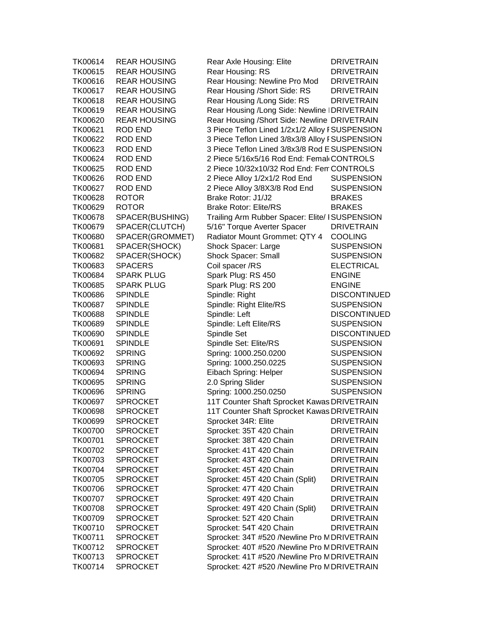| TK00614        | <b>REAR HOUSING</b> | Rear Axle Housing: Elite                        | <b>DRIVETRAIN</b>   |
|----------------|---------------------|-------------------------------------------------|---------------------|
| TK00615        | <b>REAR HOUSING</b> | Rear Housing: RS                                | <b>DRIVETRAIN</b>   |
| TK00616        | <b>REAR HOUSING</b> | Rear Housing: Newline Pro Mod                   | <b>DRIVETRAIN</b>   |
| TK00617        | <b>REAR HOUSING</b> | Rear Housing / Short Side: RS                   | <b>DRIVETRAIN</b>   |
| TK00618        | <b>REAR HOUSING</b> | Rear Housing /Long Side: RS                     | <b>DRIVETRAIN</b>   |
| TK00619        | <b>REAR HOUSING</b> | Rear Housing /Long Side: Newline   DRIVETRAIN   |                     |
| TK00620        | <b>REAR HOUSING</b> | Rear Housing / Short Side: Newline DRIVETRAIN   |                     |
| TK00621        | <b>ROD END</b>      | 3 Piece Teflon Lined 1/2x1/2 Alloy I SUSPENSION |                     |
| TK00622        | <b>ROD END</b>      | 3 Piece Teflon Lined 3/8x3/8 Alloy I SUSPENSION |                     |
| TK00623        | <b>ROD END</b>      | 3 Piece Teflon Lined 3/8x3/8 Rod E SUSPENSION   |                     |
| TK00624        | <b>ROD END</b>      | 2 Piece 5/16x5/16 Rod End: Femal CONTROLS       |                     |
| TK00625        | <b>ROD END</b>      | 2 Piece 10/32x10/32 Rod End: Fen CONTROLS       |                     |
| TK00626        | <b>ROD END</b>      | 2 Piece Alloy 1/2x1/2 Rod End                   | <b>SUSPENSION</b>   |
| TK00627        | <b>ROD END</b>      | 2 Piece Alloy 3/8X3/8 Rod End                   | <b>SUSPENSION</b>   |
| TK00628        | <b>ROTOR</b>        | Brake Rotor: J1/J2                              | <b>BRAKES</b>       |
| TK00629        | <b>ROTOR</b>        | <b>Brake Rotor: Elite/RS</b>                    | <b>BRAKES</b>       |
| <b>TK00678</b> | SPACER(BUSHING)     | Trailing Arm Rubber Spacer: Elite/ ISUSPENSION  |                     |
| TK00679        | SPACER(CLUTCH)      | 5/16" Torque Averter Spacer                     | <b>DRIVETRAIN</b>   |
| <b>TK00680</b> | SPACER(GROMMET)     | Radiator Mount Grommet: QTY 4                   | <b>COOLING</b>      |
| TK00681        | SPACER(SHOCK)       | Shock Spacer: Large                             | <b>SUSPENSION</b>   |
| TK00682        | SPACER(SHOCK)       | Shock Spacer: Small                             | <b>SUSPENSION</b>   |
| TK00683        | <b>SPACERS</b>      | Coil spacer /RS                                 | <b>ELECTRICAL</b>   |
| TK00684        | <b>SPARK PLUG</b>   | Spark Plug: RS 450                              | <b>ENGINE</b>       |
| TK00685        | <b>SPARK PLUG</b>   | Spark Plug: RS 200                              | <b>ENGINE</b>       |
| <b>TK00686</b> | <b>SPINDLE</b>      | Spindle: Right                                  | <b>DISCONTINUED</b> |
| <b>TK00687</b> | <b>SPINDLE</b>      | Spindle: Right Elite/RS                         | <b>SUSPENSION</b>   |
| <b>TK00688</b> | <b>SPINDLE</b>      | Spindle: Left                                   | <b>DISCONTINUED</b> |
| TK00689        | <b>SPINDLE</b>      | Spindle: Left Elite/RS                          | <b>SUSPENSION</b>   |
| TK00690        | <b>SPINDLE</b>      | Spindle Set                                     | <b>DISCONTINUED</b> |
| TK00691        | <b>SPINDLE</b>      | Spindle Set: Elite/RS                           | <b>SUSPENSION</b>   |
| TK00692        | <b>SPRING</b>       | Spring: 1000.250.0200                           | <b>SUSPENSION</b>   |
| TK00693        | <b>SPRING</b>       | Spring: 1000.250.0225                           | <b>SUSPENSION</b>   |
| TK00694        | <b>SPRING</b>       | Eibach Spring: Helper                           | <b>SUSPENSION</b>   |
| TK00695        | <b>SPRING</b>       | 2.0 Spring Slider                               | <b>SUSPENSION</b>   |
| <b>TK00696</b> | <b>SPRING</b>       | Spring: 1000.250.0250                           | <b>SUSPENSION</b>   |
| TK00697        | <b>SPROCKET</b>     | 11T Counter Shaft Sprocket Kawas DRIVETRAIN     |                     |
| <b>TK00698</b> | <b>SPROCKET</b>     | 11T Counter Shaft Sprocket Kawas DRIVETRAIN     |                     |
| TK00699        | <b>SPROCKET</b>     | Sprocket 34R: Elite                             | <b>DRIVETRAIN</b>   |
| <b>TK00700</b> | <b>SPROCKET</b>     | Sprocket: 35T 420 Chain                         | <b>DRIVETRAIN</b>   |
| TK00701        | <b>SPROCKET</b>     | Sprocket: 38T 420 Chain                         | <b>DRIVETRAIN</b>   |
| TK00702        | SPROCKET            | Sprocket: 41T 420 Chain                         | <b>DRIVETRAIN</b>   |
| TK00703        | <b>SPROCKET</b>     | Sprocket: 43T 420 Chain                         | <b>DRIVETRAIN</b>   |
| TK00704        | <b>SPROCKET</b>     | Sprocket: 45T 420 Chain                         | <b>DRIVETRAIN</b>   |
| TK00705        | <b>SPROCKET</b>     | Sprocket: 45T 420 Chain (Split)                 | <b>DRIVETRAIN</b>   |
| <b>TK00706</b> | <b>SPROCKET</b>     | Sprocket: 47T 420 Chain                         | <b>DRIVETRAIN</b>   |
| <b>TK00707</b> | <b>SPROCKET</b>     | Sprocket: 49T 420 Chain                         | <b>DRIVETRAIN</b>   |
| <b>TK00708</b> | <b>SPROCKET</b>     | Sprocket: 49T 420 Chain (Split)                 | <b>DRIVETRAIN</b>   |
| TK00709        | <b>SPROCKET</b>     | Sprocket: 52T 420 Chain                         | <b>DRIVETRAIN</b>   |
| TK00710        | <b>SPROCKET</b>     | Sprocket: 54T 420 Chain                         | <b>DRIVETRAIN</b>   |
| TK00711        | <b>SPROCKET</b>     | Sprocket: 34T #520 /Newline Pro M DRIVETRAIN    |                     |
| TK00712        | <b>SPROCKET</b>     | Sprocket: 40T #520 /Newline Pro M DRIVETRAIN    |                     |
| TK00713        | <b>SPROCKET</b>     | Sprocket: 41T #520 /Newline Pro M DRIVETRAIN    |                     |
| TK00714        | <b>SPROCKET</b>     | Sprocket: 42T #520 /Newline Pro M DRIVETRAIN    |                     |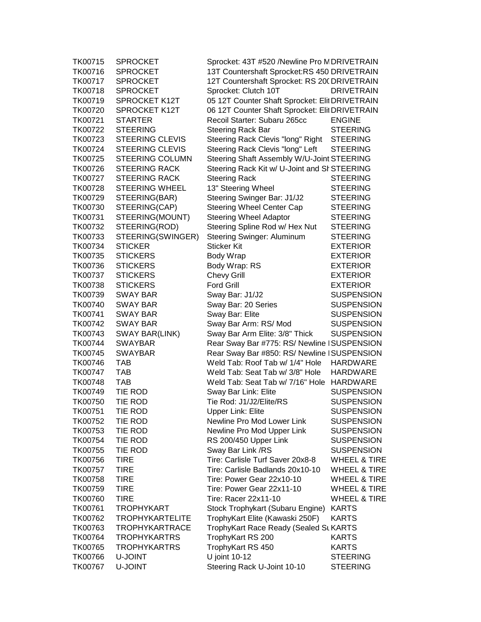| TK00715 | <b>SPROCKET</b>        | Sprocket: 43T #520 /Newline Pro M DRIVETRAIN   |                         |
|---------|------------------------|------------------------------------------------|-------------------------|
| TK00716 | <b>SPROCKET</b>        | 13T Countershaft Sprocket:RS 450 DRIVETRAIN    |                         |
| TK00717 | <b>SPROCKET</b>        | 12T Countershaft Sprocket: RS 20(DRIVETRAIN    |                         |
| TK00718 | <b>SPROCKET</b>        | Sprocket: Clutch 10T                           | <b>DRIVETRAIN</b>       |
| TK00719 | <b>SPROCKET K12T</b>   | 05 12T Counter Shaft Sprocket: Elit DRIVETRAIN |                         |
| TK00720 | <b>SPROCKET K12T</b>   | 06 12T Counter Shaft Sprocket: Elit DRIVETRAIN |                         |
| TK00721 | <b>STARTER</b>         | Recoil Starter: Subaru 265cc                   | <b>ENGINE</b>           |
| TK00722 | <b>STEERING</b>        | <b>Steering Rack Bar</b>                       | <b>STEERING</b>         |
| TK00723 | STEERING CLEVIS        | Steering Rack Clevis "long" Right STEERING     |                         |
| TK00724 | <b>STEERING CLEVIS</b> | Steering Rack Clevis "long" Left               | <b>STEERING</b>         |
| TK00725 | <b>STEERING COLUMN</b> | Steering Shaft Assembly W/U-Joint STEERING     |                         |
| TK00726 | <b>STEERING RACK</b>   | Steering Rack Kit w/ U-Joint and SI STEERING   |                         |
| TK00727 | <b>STEERING RACK</b>   | <b>Steering Rack</b>                           | <b>STEERING</b>         |
| TK00728 | <b>STEERING WHEEL</b>  | 13" Steering Wheel                             | <b>STEERING</b>         |
| TK00729 |                        |                                                | <b>STEERING</b>         |
|         | STEERING(BAR)          | Steering Swinger Bar: J1/J2                    |                         |
| TK00730 | STEERING(CAP)          | Steering Wheel Center Cap                      | <b>STEERING</b>         |
| TK00731 | STEERING(MOUNT)        | <b>Steering Wheel Adaptor</b>                  | <b>STEERING</b>         |
| TK00732 | STEERING(ROD)          | Steering Spline Rod w/ Hex Nut                 | <b>STEERING</b>         |
| TK00733 | STEERING(SWINGER)      | <b>Steering Swinger: Aluminum</b>              | <b>STEERING</b>         |
| TK00734 | <b>STICKER</b>         | Sticker Kit                                    | <b>EXTERIOR</b>         |
| TK00735 | <b>STICKERS</b>        | Body Wrap                                      | <b>EXTERIOR</b>         |
| TK00736 | <b>STICKERS</b>        | Body Wrap: RS                                  | <b>EXTERIOR</b>         |
| TK00737 | <b>STICKERS</b>        | <b>Chevy Grill</b>                             | <b>EXTERIOR</b>         |
| TK00738 | <b>STICKERS</b>        | <b>Ford Grill</b>                              | <b>EXTERIOR</b>         |
| TK00739 | SWAY BAR               | Sway Bar: J1/J2                                | <b>SUSPENSION</b>       |
| TK00740 | SWAY BAR               | Sway Bar: 20 Series                            | <b>SUSPENSION</b>       |
| TK00741 | SWAY BAR               | Sway Bar: Elite                                | <b>SUSPENSION</b>       |
| TK00742 | SWAY BAR               | Sway Bar Arm: RS/Mod                           | <b>SUSPENSION</b>       |
| TK00743 | SWAY BAR(LINK)         | Sway Bar Arm Elite: 3/8" Thick                 | <b>SUSPENSION</b>       |
| TK00744 | <b>SWAYBAR</b>         | Rear Sway Bar #775: RS/ Newline   SUSPENSION   |                         |
| TK00745 | <b>SWAYBAR</b>         | Rear Sway Bar #850: RS/ Newline   SUSPENSION   |                         |
| TK00746 | <b>TAB</b>             | Weld Tab: Roof Tab w/ 1/4" Hole                | <b>HARDWARE</b>         |
| TK00747 | <b>TAB</b>             | Weld Tab: Seat Tab w/ 3/8" Hole                | <b>HARDWARE</b>         |
| TK00748 | <b>TAB</b>             | Weld Tab: Seat Tab w/ 7/16" Hole HARDWARE      |                         |
| TK00749 | TIE ROD                | Sway Bar Link: Elite                           | <b>SUSPENSION</b>       |
| TK00750 | TIE ROD                | Tie Rod: J1/J2/Elite/RS                        | <b>SUSPENSION</b>       |
| TK00751 | TIE ROD                | <b>Upper Link: Elite</b>                       | <b>SUSPENSION</b>       |
| TK00752 | TIE ROD                | Newline Pro Mod Lower Link                     | <b>SUSPENSION</b>       |
| TK00753 | TIE ROD                | Newline Pro Mod Upper Link                     | <b>SUSPENSION</b>       |
| TK00754 | TIE ROD                | RS 200/450 Upper Link                          | <b>SUSPENSION</b>       |
| TK00755 | TIE ROD                | Sway Bar Link /RS                              | <b>SUSPENSION</b>       |
| TK00756 | <b>TIRE</b>            | Tire: Carlisle Turf Saver 20x8-8               | WHEEL & TIRE            |
| TK00757 | <b>TIRE</b>            | Tire: Carlisle Badlands 20x10-10               | WHEEL & TIRE            |
| TK00758 | <b>TIRE</b>            | Tire: Power Gear 22x10-10                      | <b>WHEEL &amp; TIRE</b> |
| TK00759 | <b>TIRE</b>            | Tire: Power Gear 22x11-10                      | WHEEL & TIRE            |
| TK00760 | <b>TIRE</b>            | Tire: Racer 22x11-10                           | <b>WHEEL &amp; TIRE</b> |
| TK00761 | <b>TROPHYKART</b>      | Stock Trophykart (Subaru Engine)               | <b>KARTS</b>            |
| TK00762 | <b>TROPHYKARTELITE</b> | TrophyKart Elite (Kawaski 250F)                | <b>KARTS</b>            |
| TK00763 | <b>TROPHYKARTRACE</b>  | TrophyKart Race Ready (Sealed St KARTS         |                         |
| TK00764 | <b>TROPHYKARTRS</b>    | TrophyKart RS 200                              | <b>KARTS</b>            |
| TK00765 | <b>TROPHYKARTRS</b>    | TrophyKart RS 450                              | <b>KARTS</b>            |
| TK00766 | U-JOINT                | U joint 10-12                                  | <b>STEERING</b>         |
| TK00767 | U-JOINT                | Steering Rack U-Joint 10-10                    | <b>STEERING</b>         |
|         |                        |                                                |                         |